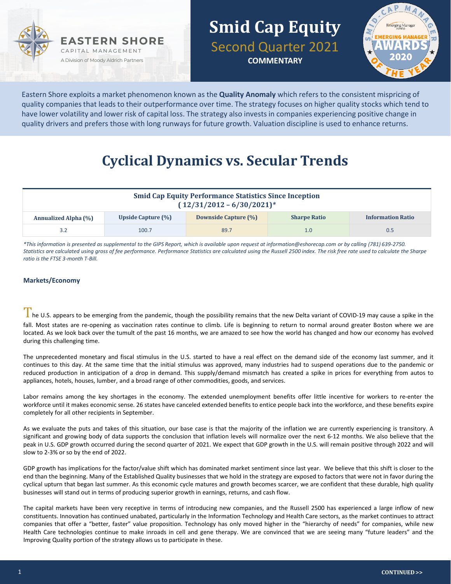



Eastern Shore exploits a market phenomenon known as the **Quality Anomaly** which refers to the consistent mispricing of quality companies that leads to their outperformance over time. The strategy focuses on higher quality stocks which tend to have lower volatility and lower risk of capital loss. The strategy also invests in companies experiencing positive change in quality drivers and prefers those with long runways for future growth. Valuation discipline is used to enhance returns.

# **Cyclical Dynamics vs. Secular Trends**

| <b>Smid Cap Equity Performance Statistics Since Inception</b><br>$(12/31/2012 - 6/30/2021)^{*}$ |                    |                      |                     |                          |  |  |  |
|-------------------------------------------------------------------------------------------------|--------------------|----------------------|---------------------|--------------------------|--|--|--|
| <b>Annualized Alpha (%)</b>                                                                     | Upside Capture (%) | Downside Capture (%) | <b>Sharpe Ratio</b> | <b>Information Ratio</b> |  |  |  |
|                                                                                                 | 100.7              | 89.7                 | 1.0                 | 0.5                      |  |  |  |

*\*This information is presented as supplemental to the GIPS Report, which is available upon request at information@eshorecap.com or by calling (781) 639-2750. Statistics are calculated using gross of fee performance. Performance Statistics are calculated using the Russell 2500 index. The risk free rate used to calculate the Sharpe ratio is the FTSE 3-month T-Bill.*

#### **Markets/Economy**

I he U.S. appears to be emerging from the pandemic, though the possibility remains that the new Delta variant of COVID-19 may cause a spike in the fall. Most states are re-opening as vaccination rates continue to climb. Life is beginning to return to normal around greater Boston where we are located. As we look back over the tumult of the past 16 months, we are amazed to see how the world has changed and how our economy has evolved during this challenging time.

The unprecedented monetary and fiscal stimulus in the U.S. started to have a real effect on the demand side of the economy last summer, and it continues to this day. At the same time that the initial stimulus was approved, many industries had to suspend operations due to the pandemic or reduced production in anticipation of a drop in demand. This supply/demand mismatch has created a spike in prices for everything from autos to appliances, hotels, houses, lumber, and a broad range of other commodities, goods, and services.

Labor remains among the key shortages in the economy. The extended unemployment benefits offer little incentive for workers to re-enter the workforce until it makes economic sense. 26 states have canceled extended benefits to entice people back into the workforce, and these benefits expire completely for all other recipients in September.

As we evaluate the puts and takes of this situation, our base case is that the majority of the inflation we are currently experiencing is transitory. A significant and growing body of data supports the conclusion that inflation levels will normalize over the next 6-12 months. We also believe that the peak in U.S. GDP growth occurred during the second quarter of 2021. We expect that GDP growth in the U.S. will remain positive through 2022 and will slow to 2-3% or so by the end of 2022.

GDP growth has implications for the factor/value shift which has dominated market sentiment since last year. We believe that this shift is closer to the end than the beginning. Many of the Established Quality businesses that we hold in the strategy are exposed to factors that were not in favor during the cyclical upturn that began last summer. As this economic cycle matures and growth becomes scarcer, we are confident that these durable, high quality businesses will stand out in terms of producing superior growth in earnings, returns, and cash flow.

The capital markets have been very receptive in terms of introducing new companies, and the Russell 2500 has experienced a large inflow of new constituents. Innovation has continued unabated, particularly in the Information Technology and Health Care sectors, as the market continues to attract companies that offer a "better, faster" value proposition. Technology has only moved higher in the "hierarchy of needs" for companies, while new Health Care technologies continue to make inroads in cell and gene therapy. We are convinced that we are seeing many "future leaders" and the Improving Quality portion of the strategy allows us to participate in these.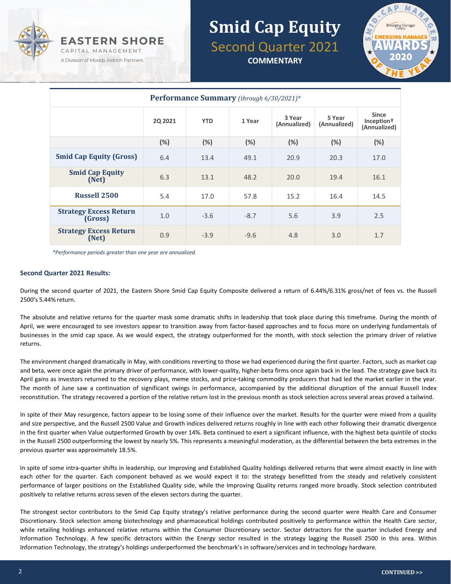



| Performance Summary (through 6/30/2021)* |                |            |        |                        |                        |                                                        |  |  |
|------------------------------------------|----------------|------------|--------|------------------------|------------------------|--------------------------------------------------------|--|--|
|                                          | <b>2Q 2021</b> | <b>YTD</b> | 1 Year | 3 Year<br>(Annualized) | 5 Year<br>(Annualized) | <b>Since</b><br>Inception <sup>†</sup><br>(Annualized) |  |  |
|                                          | (%)            | $(\%)$     | (%)    | (%)                    | (%)                    | (%)                                                    |  |  |
| <b>Smid Cap Equity (Gross)</b>           | 6.4            | 13.4       | 49.1   | 20.9                   | 20.3                   | 17.0                                                   |  |  |
| <b>Smid Cap Equity</b><br>(Net)          | 6.3            | 13.1       | 48.2   | 20.0                   | 19.4                   | 16.1                                                   |  |  |
| <b>Russell 2500</b>                      | 5.4            | 17.0       | 57.8   | 15.2                   | 16.4                   | 14.5                                                   |  |  |
| <b>Strategy Excess Return</b><br>(Gross) | 1.0            | $-3.6$     | $-8.7$ | 5.6                    | 3.9                    | 2.5                                                    |  |  |
| <b>Strategy Excess Return</b><br>(Net)   | 0.9            | $-3.9$     | $-9.6$ | 4.8                    | 3.0                    | 1.7                                                    |  |  |

*\*Performance periods greater than one year are annualized.*

#### **Second Quarter 2021 Results:**

During the second quarter of 2021, the Eastern Shore Smid Cap Equity Composite delivered a return of 6.44%/6.31% gross/net of fees vs. the Russell 2500's 5.44% return.

The absolute and relative returns for the quarter mask some dramatic shifts in leadership that took place during this timeframe. During the month of April, we were encouraged to see investors appear to transition away from factor-based approaches and to focus more on underlying fundamentals of businesses in the smid cap space. As we would expect, the strategy outperformed for the month, with stock selection the primary driver of relative returns.

The environment changed dramatically in May, with conditions reverting to those we had experienced during the first quarter. Factors, such as market cap and beta, were once again the primary driver of performance, with lower-quality, higher-beta firms once again back in the lead. The strategy gave back its April gains as investors returned to the recovery plays, meme stocks, and price-taking commodity producers that had led the market earlier in the year. The month of June saw a continuation of significant swings in performance, accompanied by the additional disruption of the annual Russell Index reconstitution. The strategy recovered a portion of the relative return lost in the previous month as stock selection across several areas proved a tailwind.

In spite of their May resurgence, factors appear to be losing some of their influence over the market. Results for the quarter were mixed from a quality and size perspective, and the Russell 2500 Value and Growth indices delivered returns roughly in line with each other following their dramatic divergence in the first quarter when Value outperformed Growth by over 14%. Beta continued to exert a significant influence, with the highest beta quintile of stocks in the Russell 2500 outperforming the lowest by nearly 5%. This represents a meaningful moderation, as the differential between the beta extremes in the previous quarter was approximately 18.5%.

In spite of some intra-quarter shifts in leadership, our Improving and Established Quality holdings delivered returns that were almost exactly in line with each other for the quarter. Each component behaved as we would expect it to: the strategy benefitted from the steady and relatively consistent performance of larger positions on the Established Quality side, while the Improving Quality returns ranged more broadly. Stock selection contributed positively to relative returns across seven of the eleven sectors during the quarter.

The strongest sector contributors to the Smid Cap Equity strategy's relative performance during the second quarter were Health Care and Consumer Discretionary. Stock selection among biotechnology and pharmaceutical holdings contributed positively to performance within the Health Care sector, while retailing holdings enhanced relative returns within the Consumer Discretionary sector. Sector detractors for the quarter included Energy and Information Technology. A few specific detractors within the Energy sector resulted in the strategy lagging the Russell 2500 in this area. Within Information Technology, the strategy's holdings underperformed the benchmark's in software/services and in technology hardware.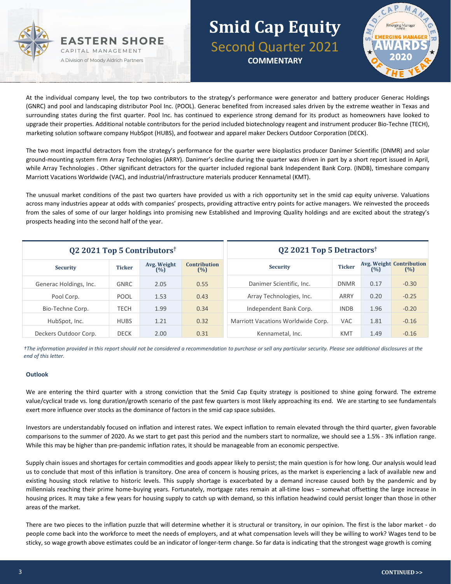



At the individual company level, the top two contributors to the strategy's performance were generator and battery producer Generac Holdings (GNRC) and pool and landscaping distributor Pool Inc. (POOL). Generac benefited from increased sales driven by the extreme weather in Texas and surrounding states during the first quarter. Pool Inc. has continued to experience strong demand for its product as homeowners have looked to upgrade their properties. Additional notable contributors for the period included biotechnology reagent and instrument producer Bio-Techne (TECH), marketing solution software company HubSpot (HUBS), and footwear and apparel maker Deckers Outdoor Corporation (DECK).

The two most impactful detractors from the strategy's performance for the quarter were bioplastics producer Danimer Scientific (DNMR) and solar ground-mounting system firm Array Technologies (ARRY). Danimer's decline during the quarter was driven in part by a short report issued in April, while Array Technologies . Other significant detractors for the quarter included regional bank Independent Bank Corp. (INDB), timeshare company Marriott Vacations Worldwide (VAC), and industrial/infrastructure materials producer Kennametal (KMT).

The unusual market conditions of the past two quarters have provided us with a rich opportunity set in the smid cap equity universe. Valuations across many industries appear at odds with companies' prospects, providing attractive entry points for active managers. We reinvested the proceeds from the sales of some of our larger holdings into promising new Established and Improving Quality holdings and are excited about the strategy's prospects heading into the second half of the year.

| Q2 2021 Top 5 Contributors <sup>†</sup> |               |                    | Q2 2021 Top 5 Detractors <sup>†</sup> |                                    |               |      |                                        |
|-----------------------------------------|---------------|--------------------|---------------------------------------|------------------------------------|---------------|------|----------------------------------------|
| <b>Security</b>                         | <b>Ticker</b> | Avg. Weight<br>(%) | <b>Contribution</b><br>(%)            | <b>Security</b>                    | <b>Ticker</b> | (%)  | <b>Avg. Weight Contribution</b><br>(%) |
| Generac Holdings, Inc.                  | <b>GNRC</b>   | 2.05               | 0.55                                  | Danimer Scientific, Inc.           | <b>DNMR</b>   | 0.17 | $-0.30$                                |
| Pool Corp.                              | <b>POOL</b>   | 1.53               | 0.43                                  | Array Technologies, Inc.           | ARRY          | 0.20 | $-0.25$                                |
| Bio-Techne Corp.                        | <b>TECH</b>   | 1.99               | 0.34                                  | Independent Bank Corp.             | <b>INDB</b>   | 1.96 | $-0.20$                                |
| HubSpot, Inc.                           | <b>HUBS</b>   | 1.21               | 0.32                                  | Marriott Vacations Worldwide Corp. | <b>VAC</b>    | 1.81 | $-0.16$                                |
| Deckers Outdoor Corp.                   | <b>DECK</b>   | 2.00               | 0.31                                  | Kennametal, Inc.                   | <b>KMT</b>    | 1.49 | $-0.16$                                |

*†The information provided in this report should not be considered a recommendation to purchase or sell any particular security. Please see additional disclosures at the end of this letter.*

#### **Outlook**

We are entering the third quarter with a strong conviction that the Smid Cap Equity strategy is positioned to shine going forward. The extreme value/cyclical trade vs. long duration/growth scenario of the past few quarters is most likely approaching its end. We are starting to see fundamentals exert more influence over stocks as the dominance of factors in the smid cap space subsides.

Investors are understandably focused on inflation and interest rates. We expect inflation to remain elevated through the third quarter, given favorable comparisons to the summer of 2020. As we start to get past this period and the numbers start to normalize, we should see a 1.5% - 3% inflation range. While this may be higher than pre-pandemic inflation rates, it should be manageable from an economic perspective.

Supply chain issues and shortages for certain commodities and goods appear likely to persist; the main question is for how long. Our analysis would lead us to conclude that most of this inflation is transitory. One area of concern is housing prices, as the market is experiencing a lack of available new and existing housing stock relative to historic levels. This supply shortage is exacerbated by a demand increase caused both by the pandemic and by millennials reaching their prime home-buying years. Fortunately, mortgage rates remain at all-time lows – somewhat offsetting the large increase in housing prices. It may take a few years for housing supply to catch up with demand, so this inflation headwind could persist longer than those in other areas of the market.

There are two pieces to the inflation puzzle that will determine whether it is structural or transitory, in our opinion. The first is the labor market - do people come back into the workforce to meet the needs of employers, and at what compensation levels will they be willing to work? Wages tend to be sticky, so wage growth above estimates could be an indicator of longer-term change. So far data is indicating that the strongest wage growth is coming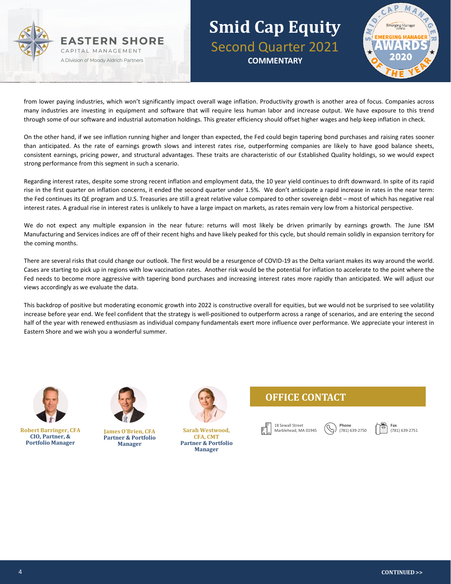



from lower paying industries, which won't significantly impact overall wage inflation. Productivity growth is another area of focus. Companies across many industries are investing in equipment and software that will require less human labor and increase output. We have exposure to this trend through some of our software and industrial automation holdings. This greater efficiency should offset higher wages and help keep inflation in check.

On the other hand, if we see inflation running higher and longer than expected, the Fed could begin tapering bond purchases and raising rates sooner than anticipated. As the rate of earnings growth slows and interest rates rise, outperforming companies are likely to have good balance sheets, consistent earnings, pricing power, and structural advantages. These traits are characteristic of our Established Quality holdings, so we would expect strong performance from this segment in such a scenario.

Regarding interest rates, despite some strong recent inflation and employment data, the 10 year yield continues to drift downward. In spite of its rapid rise in the first quarter on inflation concerns, it ended the second quarter under 1.5%. We don't anticipate a rapid increase in rates in the near term: the Fed continues its QE program and U.S. Treasuries are still a great relative value compared to other sovereign debt – most of which has negative real interest rates. A gradual rise in interest rates is unlikely to have a large impact on markets, as rates remain very low from a historical perspective.

We do not expect any multiple expansion in the near future: returns will most likely be driven primarily by earnings growth. The June ISM Manufacturing and Services indices are off of their recent highs and have likely peaked for this cycle, but should remain solidly in expansion territory for the coming months.

There are several risks that could change our outlook. The first would be a resurgence of COVID-19 as the Delta variant makes its way around the world. Cases are starting to pick up in regions with low vaccination rates. Another risk would be the potential for inflation to accelerate to the point where the Fed needs to become more aggressive with tapering bond purchases and increasing interest rates more rapidly than anticipated. We will adjust our views accordingly as we evaluate the data.

This backdrop of positive but moderating economic growth into 2022 is constructive overall for equities, but we would not be surprised to see volatility increase before year end. We feel confident that the strategy is well-positioned to outperform across a range of scenarios, and are entering the second half of the year with renewed enthusiasm as individual company fundamentals exert more influence over performance. We appreciate your interest in Eastern Shore and we wish you a wonderful summer.



**Robert Barringer, CFA CIO, Partner, & Portfolio Manager**



**James O'Brien, CFA Partner & Portfolio Manager**

**Sarah Westwood,** 

**CFA, CMT Partner & Portfolio Manager**

### **OFFICE CONTACT**



**Phone** (781) 639-2750

**Fax** (781) 639-2751